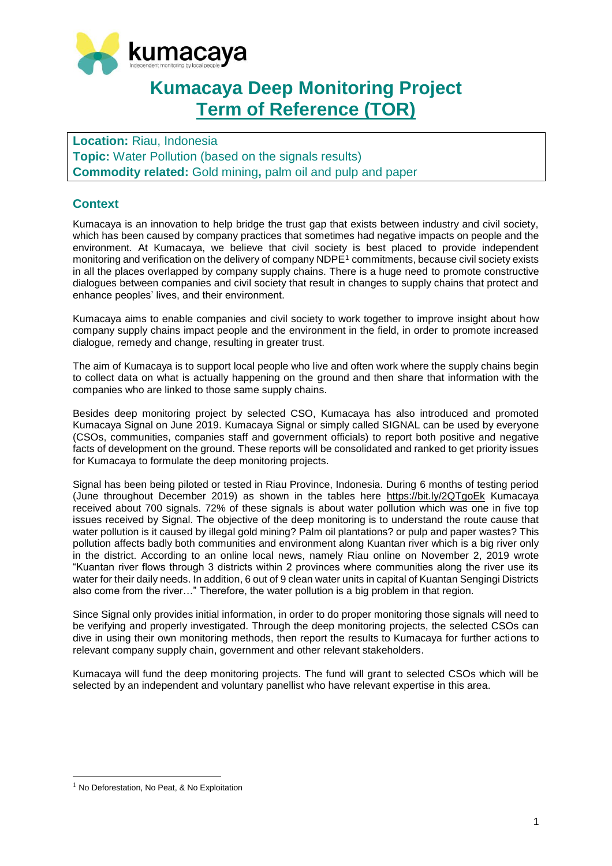

# **Kumacaya Deep Monitoring Project Term of Reference (TOR)**

**Location:** Riau, Indonesia **Topic:** Water Pollution (based on the signals results) **Commodity related:** Gold mining**,** palm oil and pulp and paper

### **Context**

Kumacaya is an innovation to help bridge the trust gap that exists between industry and civil society, which has been caused by company practices that sometimes had negative impacts on people and the environment. At Kumacaya, we believe that civil society is best placed to provide independent monitoring and verification on the delivery of company NDPE<sup>1</sup> commitments, because civil society exists in all the places overlapped by company supply chains. There is a huge need to promote constructive dialogues between companies and civil society that result in changes to supply chains that protect and enhance peoples' lives, and their environment.

Kumacaya aims to enable companies and civil society to work together to improve insight about how company supply chains impact people and the environment in the field, in order to promote increased dialogue, remedy and change, resulting in greater trust.

The aim of Kumacaya is to support local people who live and often work where the supply chains begin to collect data on what is actually happening on the ground and then share that information with the companies who are linked to those same supply chains.

Besides deep monitoring project by selected CSO, Kumacaya has also introduced and promoted Kumacaya Signal on June 2019. Kumacaya Signal or simply called SIGNAL can be used by everyone (CSOs, communities, companies staff and government officials) to report both positive and negative facts of development on the ground. These reports will be consolidated and ranked to get priority issues for Kumacaya to formulate the deep monitoring projects.

Signal has been being piloted or tested in Riau Province, Indonesia. During 6 months of testing period (June throughout December 2019) as shown in the tables here <https://bit.ly/2QTgoEk> Kumacaya received about 700 signals. 72% of these signals is about water pollution which was one in five top issues received by Signal. The objective of the deep monitoring is to understand the route cause that water pollution is it caused by illegal gold mining? Palm oil plantations? or pulp and paper wastes? This pollution affects badly both communities and environment along Kuantan river which is a big river only in the district. According to an online local news, namely Riau online on November 2, 2019 wrote "Kuantan river flows through 3 districts within 2 provinces where communities along the river use its water for their daily needs. In addition, 6 out of 9 clean water units in capital of Kuantan Sengingi Districts also come from the river…" Therefore, the water pollution is a big problem in that region.

Since Signal only provides initial information, in order to do proper monitoring those signals will need to be verifying and properly investigated. Through the deep monitoring projects, the selected CSOs can dive in using their own monitoring methods, then report the results to Kumacaya for further actions to relevant company supply chain, government and other relevant stakeholders.

Kumacaya will fund the deep monitoring projects. The fund will grant to selected CSOs which will be selected by an independent and voluntary panellist who have relevant expertise in this area.

 $\overline{a}$ 

 $1$  No Deforestation, No Peat, & No Exploitation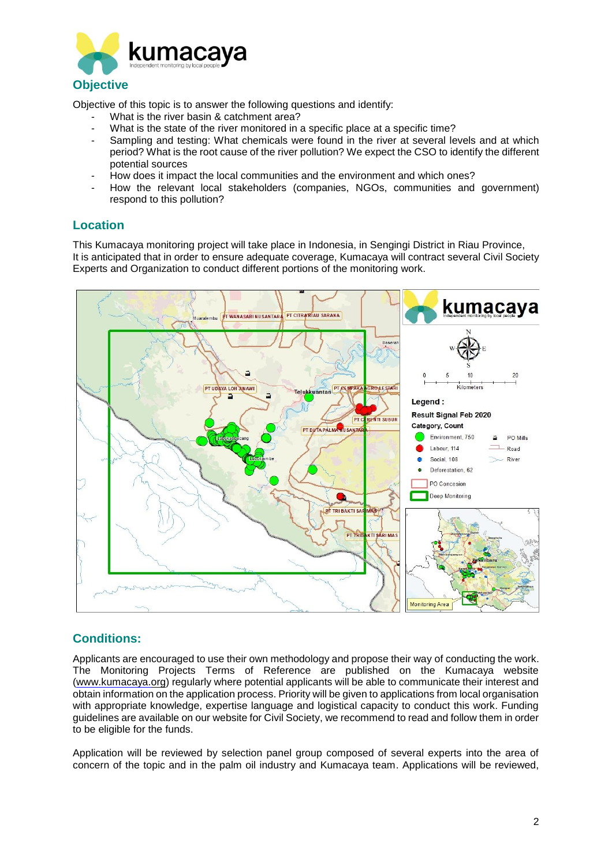

Objective of this topic is to answer the following questions and identify:

- What is the river basin & catchment area?
- What is the state of the river monitored in a specific place at a specific time?
- Sampling and testing: What chemicals were found in the river at several levels and at which period? What is the root cause of the river pollution? We expect the CSO to identify the different potential sources
- How does it impact the local communities and the environment and which ones?
- How the relevant local stakeholders (companies, NGOs, communities and government) respond to this pollution?

#### **Location**

This Kumacaya monitoring project will take place in Indonesia, in Sengingi District in Riau Province, It is anticipated that in order to ensure adequate coverage, Kumacaya will contract several Civil Society Experts and Organization to conduct different portions of the monitoring work.



### **Conditions:**

Applicants are encouraged to use their own methodology and propose their way of conducting the work. The Monitoring Projects Terms of Reference are published on the Kumacaya website [\(www.kumacaya.org\)](http://www.kumacaya.org/) regularly where potential applicants will be able to communicate their interest and obtain information on the application process. Priority will be given to applications from local organisation with appropriate knowledge, expertise language and logistical capacity to conduct this work. Funding guidelines are available on our website for Civil Society, we recommend to read and follow them in order to be eligible for the funds.

Application will be reviewed by selection panel group composed of several experts into the area of concern of the topic and in the palm oil industry and Kumacaya team. Applications will be reviewed,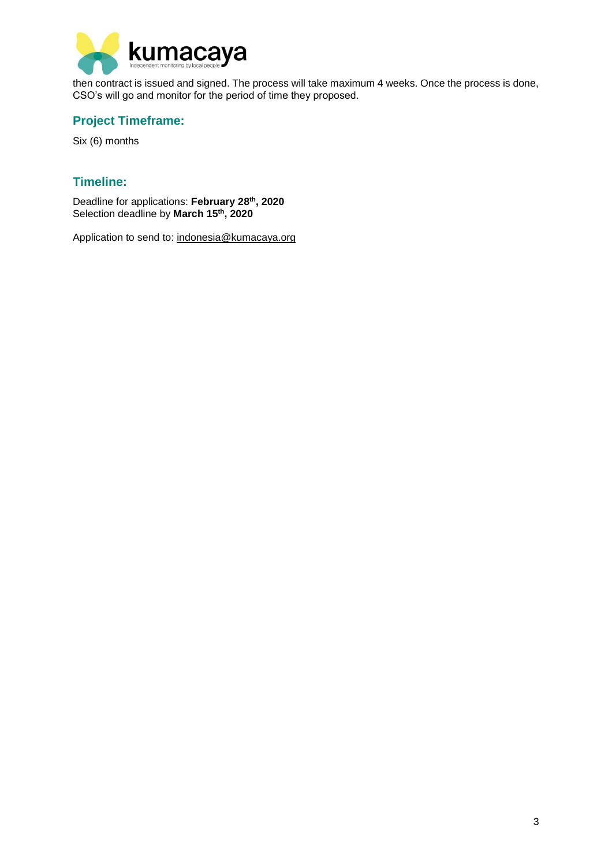

then contract is issued and signed. The process will take maximum 4 weeks. Once the process is done, CSO's will go and monitor for the period of time they proposed.

## **Project Timeframe:**

Six (6) months

## **Timeline:**

Deadline for applications: **February 28th , 2020** Selection deadline by **March 15th , 2020**

Application to send to: [indonesia@kumacaya.org](mailto:indonesia@kumacaya.org)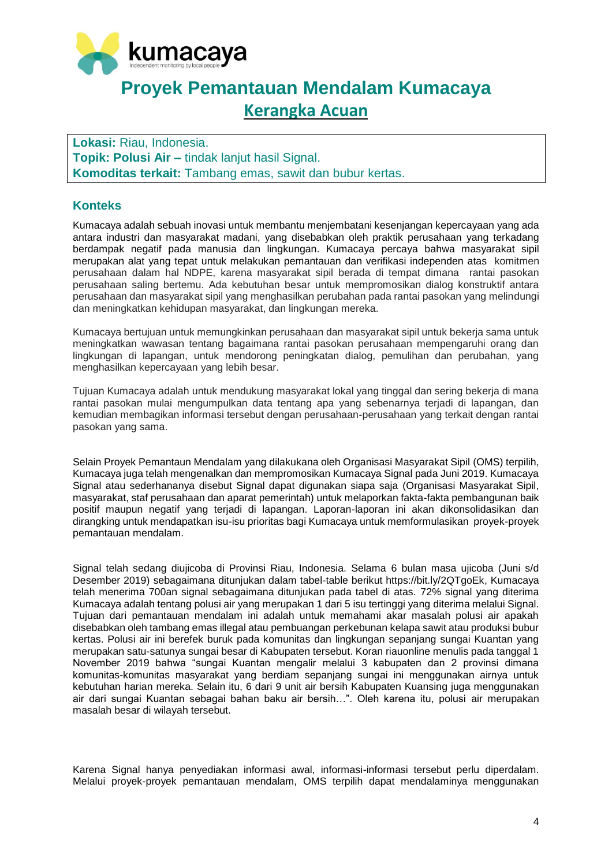

# **Proyek Pemantauan Mendalam Kumacaya Kerangka Acuan**

**Lokasi:** Riau, Indonesia. **Topik: Polusi Air –** tindak lanjut hasil Signal. **Komoditas terkait:** Tambang emas, sawit dan bubur kertas.

### **Konteks**

Kumacaya adalah sebuah inovasi untuk membantu menjembatani kesenjangan kepercayaan yang ada antara industri dan masyarakat madani, yang disebabkan oleh praktik perusahaan yang terkadang berdampak negatif pada manusia dan lingkungan. Kumacaya percaya bahwa masyarakat sipil merupakan alat yang tepat untuk melakukan pemantauan dan verifikasi independen atas komitmen perusahaan dalam hal NDPE, karena masyarakat sipil berada di tempat dimana rantai pasokan perusahaan saling bertemu. Ada kebutuhan besar untuk mempromosikan dialog konstruktif antara perusahaan dan masyarakat sipil yang menghasilkan perubahan pada rantai pasokan yang melindungi dan meningkatkan kehidupan masyarakat, dan lingkungan mereka.

Kumacaya bertujuan untuk memungkinkan perusahaan dan masyarakat sipil untuk bekerja sama untuk meningkatkan wawasan tentang bagaimana rantai pasokan perusahaan mempengaruhi orang dan lingkungan di lapangan, untuk mendorong peningkatan dialog, pemulihan dan perubahan, yang menghasilkan kepercayaan yang lebih besar.

Tujuan Kumacaya adalah untuk mendukung masyarakat lokal yang tinggal dan sering bekerja di mana rantai pasokan mulai mengumpulkan data tentang apa yang sebenarnya terjadi di lapangan, dan kemudian membagikan informasi tersebut dengan perusahaan-perusahaan yang terkait dengan rantai pasokan yang sama.

Selain Proyek Pemantaun Mendalam yang dilakukana oleh Organisasi Masyarakat Sipil (OMS) terpilih, Kumacaya juga telah mengenalkan dan mempromosikan Kumacaya Signal pada Juni 2019. Kumacaya Signal atau sederhananya disebut Signal dapat digunakan siapa saja (Organisasi Masyarakat Sipil, masyarakat, staf perusahaan dan aparat pemerintah) untuk melaporkan fakta-fakta pembangunan baik positif maupun negatif yang terjadi di lapangan. Laporan-laporan ini akan dikonsolidasikan dan dirangking untuk mendapatkan isu-isu prioritas bagi Kumacaya untuk memformulasikan proyek-proyek pemantauan mendalam.

Signal telah sedang diujicoba di Provinsi Riau, Indonesia. Selama 6 bulan masa ujicoba (Juni s/d Desember 2019) sebagaimana ditunjukan dalam tabel-table berikut https://bit.ly/2QTgoEk, Kumacaya telah menerima 700an signal sebagaimana ditunjukan pada tabel di atas. 72% signal yang diterima Kumacaya adalah tentang polusi air yang merupakan 1 dari 5 isu tertinggi yang diterima melalui Signal. Tujuan dari pemantauan mendalam ini adalah untuk memahami akar masalah polusi air apakah disebabkan oleh tambang emas illegal atau pembuangan perkebunan kelapa sawit atau produksi bubur kertas. Polusi air ini berefek buruk pada komunitas dan lingkungan sepanjang sungai Kuantan yang merupakan satu-satunya sungai besar di Kabupaten tersebut. Koran riauonline menulis pada tanggal 1 November 2019 bahwa "sungai Kuantan mengalir melalui 3 kabupaten dan 2 provinsi dimana komunitas-komunitas masyarakat yang berdiam sepanjang sungai ini menggunakan airnya untuk kebutuhan harian mereka. Selain itu, 6 dari 9 unit air bersih Kabupaten Kuansing juga menggunakan air dari sungai Kuantan sebagai bahan baku air bersih…". Oleh karena itu, polusi air merupakan masalah besar di wilayah tersebut.

Karena Signal hanya penyediakan informasi awal, informasi-informasi tersebut perlu diperdalam. Melalui proyek-proyek pemantauan mendalam, OMS terpilih dapat mendalaminya menggunakan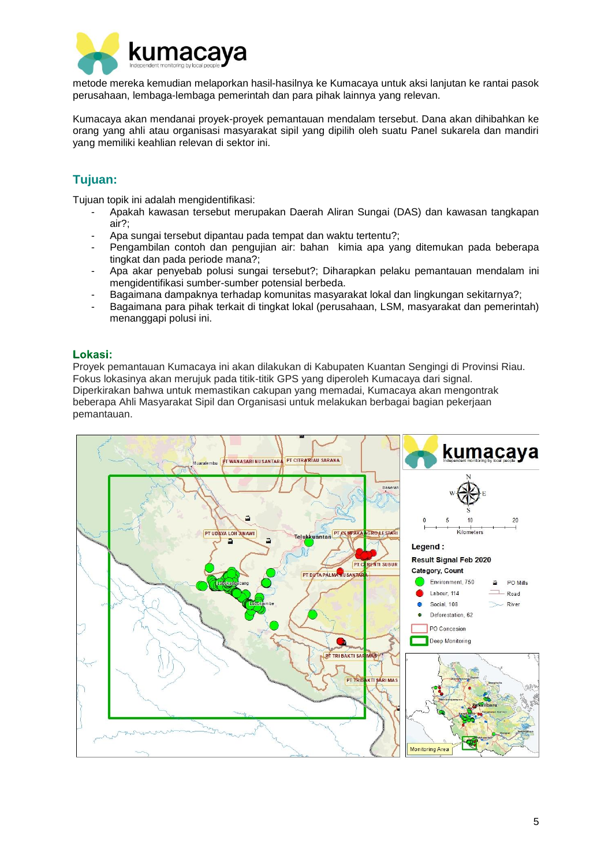

metode mereka kemudian melaporkan hasil-hasilnya ke Kumacaya untuk aksi lanjutan ke rantai pasok perusahaan, lembaga-lembaga pemerintah dan para pihak lainnya yang relevan.

Kumacaya akan mendanai proyek-proyek pemantauan mendalam tersebut. Dana akan dihibahkan ke orang yang ahli atau organisasi masyarakat sipil yang dipilih oleh suatu Panel sukarela dan mandiri yang memiliki keahlian relevan di sektor ini.

# **Tujuan:**

Tujuan topik ini adalah mengidentifikasi:

- Apakah kawasan tersebut merupakan Daerah Aliran Sungai (DAS) dan kawasan tangkapan air?;
- Apa sungai tersebut dipantau pada tempat dan waktu tertentu?;
- Pengambilan contoh dan pengujian air: bahan kimia apa yang ditemukan pada beberapa tingkat dan pada periode mana?;
- Apa akar penyebab polusi sungai tersebut?; Diharapkan pelaku pemantauan mendalam ini mengidentifikasi sumber-sumber potensial berbeda.
- Bagaimana dampaknya terhadap komunitas masyarakat lokal dan lingkungan sekitarnya?;
- Bagaimana para pihak terkait di tingkat lokal (perusahaan, LSM, masyarakat dan pemerintah) menanggapi polusi ini.

#### Lokasi:

Proyek pemantauan Kumacaya ini akan dilakukan di Kabupaten Kuantan Sengingi di Provinsi Riau. Fokus lokasinya akan merujuk pada titik-titik GPS yang diperoleh Kumacaya dari signal. Diperkirakan bahwa untuk memastikan cakupan yang memadai, Kumacaya akan mengontrak beberapa Ahli Masyarakat Sipil dan Organisasi untuk melakukan berbagai bagian pekerjaan pemantauan.